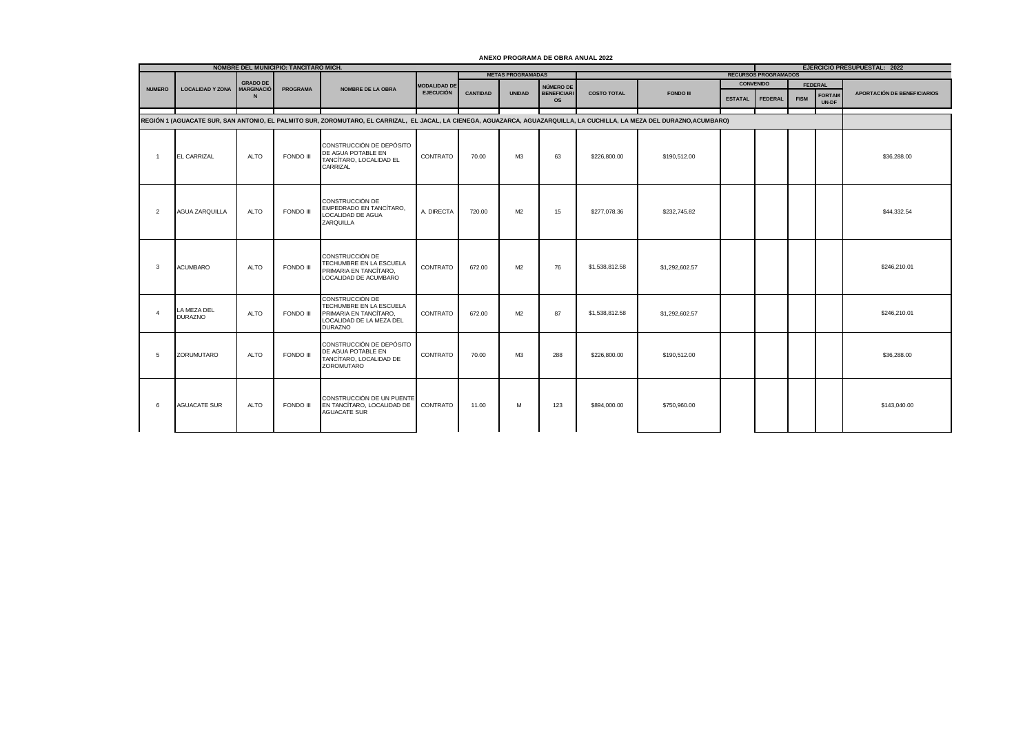|                | NOMBRE DEL MUNICIPIO: TANCITARO MICH. |                                      |                 |                                                                                                                                                                          |                     |                 |                          |                                |                    |                  |                |                             |             | <b>EJERCICIO PRESUPUESTAL: 2022</b> |                                    |  |  |
|----------------|---------------------------------------|--------------------------------------|-----------------|--------------------------------------------------------------------------------------------------------------------------------------------------------------------------|---------------------|-----------------|--------------------------|--------------------------------|--------------------|------------------|----------------|-----------------------------|-------------|-------------------------------------|------------------------------------|--|--|
|                |                                       |                                      |                 |                                                                                                                                                                          |                     |                 | <b>METAS PROGRAMADAS</b> |                                |                    |                  |                | <b>RECURSOS PROGRAMADOS</b> |             |                                     |                                    |  |  |
| <b>NUMERO</b>  | <b>LOCALIDAD Y ZONA</b>               | <b>GRADO DE</b><br><b>MARGINACIÓ</b> | <b>PROGRAMA</b> | <b>NOMBRE DE LA OBRA</b>                                                                                                                                                 | <b>MODALIDAD DE</b> |                 |                          | NÚMERO DE                      |                    |                  |                | <b>CONVENIDO</b>            |             | <b>FEDERAL</b>                      |                                    |  |  |
|                |                                       |                                      |                 |                                                                                                                                                                          | <b>EJECUCIÓN</b>    | <b>CANTIDAD</b> | <b>UNIDAD</b>            | <b>BENEFICIAR</b><br><b>OS</b> | <b>COSTO TOTAL</b> | <b>FONDO III</b> | <b>ESTATAL</b> | <b>FEDERAL</b>              | <b>FISM</b> | <b>FORTAN</b><br>UN-DF              | <b>APORTACIÓN DE BENEFICIARIOS</b> |  |  |
|                |                                       |                                      |                 | REGIÓN 1 (AGUACATE SUR, SAN ANTONIO, EL PALMITO SUR, ZOROMUTARO, EL CARRIZAL, EL JACAL, LA CIENEGA, AGUAZARCA, AGUAZARQUILLA, LA CUCHILLA, LA MEZA DEL DURAZNO,ACUMBARO) |                     |                 |                          |                                |                    |                  |                |                             |             |                                     |                                    |  |  |
|                |                                       |                                      |                 |                                                                                                                                                                          |                     |                 |                          |                                |                    |                  |                |                             |             |                                     |                                    |  |  |
| $\overline{1}$ | EL CARRIZAL                           | <b>ALTO</b>                          | FONDO III       | CONSTRUCCIÓN DE DEPÓSITO<br>DE AGUA POTABLE EN<br>TANCÍTARO, LOCALIDAD EL<br>CARRIZAL                                                                                    | CONTRATO            | 70.00           | M3                       | 63                             | \$226,800.00       | \$190,512.00     |                |                             |             |                                     | \$36,288.00                        |  |  |
| $\overline{2}$ | <b>AGUA ZARQUILLA</b>                 | <b>ALTO</b>                          | FONDO III       | CONSTRUCCIÓN DE<br>EMPEDRADO EN TANCÍTARO.<br>LOCALIDAD DE AGUA<br>ZARQUILLA                                                                                             | A. DIRECTA          | 720.00          | M <sub>2</sub>           | 15                             | \$277,078,36       | \$232,745.82     |                |                             |             |                                     | \$44.332.54                        |  |  |
| 3              | <b>ACUMBARO</b>                       | <b>ALTO</b>                          | FONDO III       | CONSTRUCCIÓN DE<br>TECHUMBRE EN LA ESCUELA<br>PRIMARIA EN TANCÍTARO.<br>LOCALIDAD DE ACUMBARO                                                                            | CONTRATO            | 672.00          | M <sub>2</sub>           | 76                             | \$1,538,812.58     | \$1,292,602.57   |                |                             |             |                                     | \$246,210.01                       |  |  |
| $\Delta$       | LA MEZA DEL<br><b>DURAZNO</b>         | <b>ALTO</b>                          | FONDO III       | CONSTRUCCIÓN DE<br>TECHUMBRE EN LA ESCUELA<br>PRIMARIA EN TANCÍTARO.<br>LOCALIDAD DE LA MEZA DEL<br><b>DURAZNO</b>                                                       | CONTRATO            | 672.00          | M <sub>2</sub>           | 87                             | \$1,538,812,58     | \$1,292,602.57   |                |                             |             |                                     | \$246,210.01                       |  |  |
| -5             | ZORUMUTARO                            | <b>ALTO</b>                          | FONDO III       | CONSTRUCCIÓN DE DEPÓSITO<br>DE AGUA POTABLE EN<br>TANCÍTARO. LOCALIDAD DE<br>ZOROMUTARO                                                                                  | CONTRATO            | 70.00           | M <sub>3</sub>           | 288                            | \$226,800.00       | \$190.512.00     |                |                             |             |                                     | \$36,288.00                        |  |  |
| 6              | <b>AGUACATE SUR</b>                   | <b>ALTO</b>                          | FONDO III       | CONSTRUCCIÓN DE UN PUENTE<br>EN TANCÍTARO, LOCALIDAD DE<br><b>AGUACATE SUR</b>                                                                                           | CONTRATO            | 11.00           | M                        | 123                            | \$894,000.00       | \$750,960.00     |                |                             |             |                                     | \$143,040.00                       |  |  |

## **ANEXO PROGRAMA DE OBRA ANUAL 2022**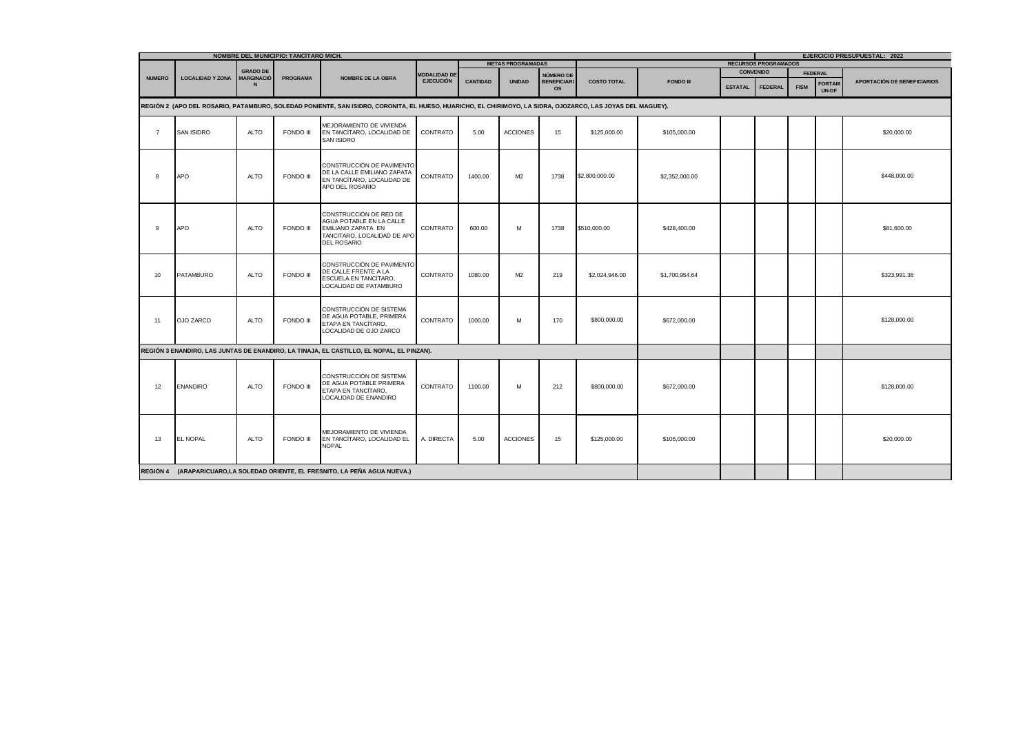|                                                                                                                                                            | NOMBRE DEL MUNICIPIO: TANCITARO MICH. |                               |                 |                                                                                                                               |                     |                 |                          |                                 |                    |                  |                | EJERCICIO PRESUPUESTAL: 2022 |             |                        |                                    |  |  |
|------------------------------------------------------------------------------------------------------------------------------------------------------------|---------------------------------------|-------------------------------|-----------------|-------------------------------------------------------------------------------------------------------------------------------|---------------------|-----------------|--------------------------|---------------------------------|--------------------|------------------|----------------|------------------------------|-------------|------------------------|------------------------------------|--|--|
|                                                                                                                                                            |                                       |                               |                 |                                                                                                                               |                     |                 | <b>METAS PROGRAMADAS</b> |                                 |                    |                  |                | <b>RECURSOS PROGRAMADOS</b>  |             |                        |                                    |  |  |
| <b>NUMERO</b>                                                                                                                                              | <b>LOCALIDAD Y ZONA</b>               | <b>GRADO DE</b><br>MARGINACIÓ | <b>PROGRAMA</b> | <b>NOMBRE DE LA OBRA</b>                                                                                                      | <b>MODALIDAD DE</b> |                 |                          | NÚMERO DE                       |                    |                  |                | <b>CONVENIDO</b>             |             | <b>FEDERAL</b>         |                                    |  |  |
|                                                                                                                                                            |                                       | N                             |                 |                                                                                                                               | <b>EJECUCIÓN</b>    | <b>CANTIDAD</b> | <b>UNIDAD</b>            | <b>BENEFICIARI</b><br><b>OS</b> | <b>COSTO TOTAL</b> | <b>FONDO III</b> | <b>ESTATAL</b> | <b>FEDERAL</b>               | <b>FISM</b> | <b>FORTAM</b><br>UN-DF | <b>APORTACIÓN DE BENEFICIARIOS</b> |  |  |
| REGIÓN 2 (APO DEL ROSARIO, PATAMBURO, SOLEDAD PONIENTE, SAN ISIDRO, CORONITA, EL HUESO, HUARICHO, EL CHIRIMOYO, LA SIDRA, OJOZARCO, LAS JOYAS DEL MAGUEY). |                                       |                               |                 |                                                                                                                               |                     |                 |                          |                                 |                    |                  |                |                              |             |                        |                                    |  |  |
| $\overline{7}$                                                                                                                                             | <b>SAN ISIDRO</b>                     | <b>ALTO</b>                   | FONDO III       | MEJORAMIENTO DE VIVIENDA<br>EN TANCÍTARO. LOCALIDAD DE<br><b>SAN ISIDRO</b>                                                   | CONTRATO            | 5.00            | <b>ACCIONES</b>          | 15                              | \$125,000.00       | \$105,000.00     |                |                              |             |                        | \$20,000.00                        |  |  |
| 8                                                                                                                                                          | <b>APO</b>                            | <b>ALTO</b>                   | FONDO III       | CONSTRUCCIÓN DE PAVIMENTO<br>DE LA CALLE EMILIANO ZAPATA<br>EN TANCÍTARO. LOCALIDAD DE<br>APO DEL ROSARIO                     | CONTRATO            | 1400.00         | M2                       | 1738                            | \$2,800,000.00     | \$2,352,000.00   |                |                              |             |                        | \$448,000.00                       |  |  |
| 9                                                                                                                                                          | <b>APO</b>                            | <b>ALTO</b>                   | FONDO III       | CONSTRUCCIÓN DE RED DE<br>AGUA POTABLE EN LA CALLE<br>EMILIANO ZAPATA EN<br>TANCITARO, LOCALIDAD DE APO<br><b>DEL ROSARIO</b> | CONTRATO            | 600.00          | М                        | 1738                            | \$510,000.00       | \$428,400.00     |                |                              |             |                        | \$81,600.00                        |  |  |
| 10                                                                                                                                                         | PATAMBURO                             | <b>ALTO</b>                   | FONDO III       | CONSTRUCCIÓN DE PAVIMENTO<br>DE CALLE FRENTE A LA<br>ESCUELA EN TANCÍTARO,<br>LOCALIDAD DE PATAMBURO                          | CONTRATO            | 1080.00         | M2                       | 219                             | \$2,024,946.00     | \$1,700,954.64   |                |                              |             |                        | \$323,991.36                       |  |  |
| 11                                                                                                                                                         | <b>OJO ZARCO</b>                      | <b>ALTO</b>                   | FONDO III       | CONSTRUCCIÓN DE SISTEMA<br>DE AGUA POTABLE, PRIMERA<br>ETAPA EN TANCITARO,<br>LOCALIDAD DE OJO ZARCO                          | <b>CONTRATO</b>     | 1000.00         | M                        | 170                             | \$800,000.00       | \$672,000.00     |                |                              |             |                        | \$128,000.00                       |  |  |
|                                                                                                                                                            |                                       |                               |                 | REGIÓN 3 ENANDIRO, LAS JUNTAS DE ENANDIRO, LA TINAJA, EL CASTILLO, EL NOPAL, EL PINZAN).                                      |                     |                 |                          |                                 |                    |                  |                |                              |             |                        |                                    |  |  |
| 12                                                                                                                                                         | <b>ENANDIRO</b>                       | <b>ALTO</b>                   | FONDO III       | CONSTRUCCIÓN DE SISTEMA<br>DE AGUA POTABLE PRIMERA<br>ETAPA EN TANCÍTARO,<br>LOCALIDAD DE ENANDIRO                            | <b>CONTRATO</b>     | 1100.00         | M                        | 212                             | \$800,000.00       | \$672,000.00     |                |                              |             |                        | \$128,000.00                       |  |  |
| 13                                                                                                                                                         | <b>EL NOPAL</b>                       | <b>ALTO</b>                   | FONDO III       | MEJORAMIENTO DE VIVIENDA<br>EN TANCÍTARO, LOCALIDAD EL<br><b>NOPAL</b>                                                        | A. DIRECTA          | 5.00            | <b>ACCIONES</b>          | 15                              | \$125,000.00       | \$105,000.00     |                |                              |             |                        | \$20,000.00                        |  |  |
|                                                                                                                                                            |                                       |                               |                 | REGIÓN 4 (ARAPARICUARO, LA SOLEDAD ORIENTE, EL FRESNITO, LA PEÑA AGUA NUEVA.)                                                 |                     |                 |                          |                                 |                    |                  |                |                              |             |                        |                                    |  |  |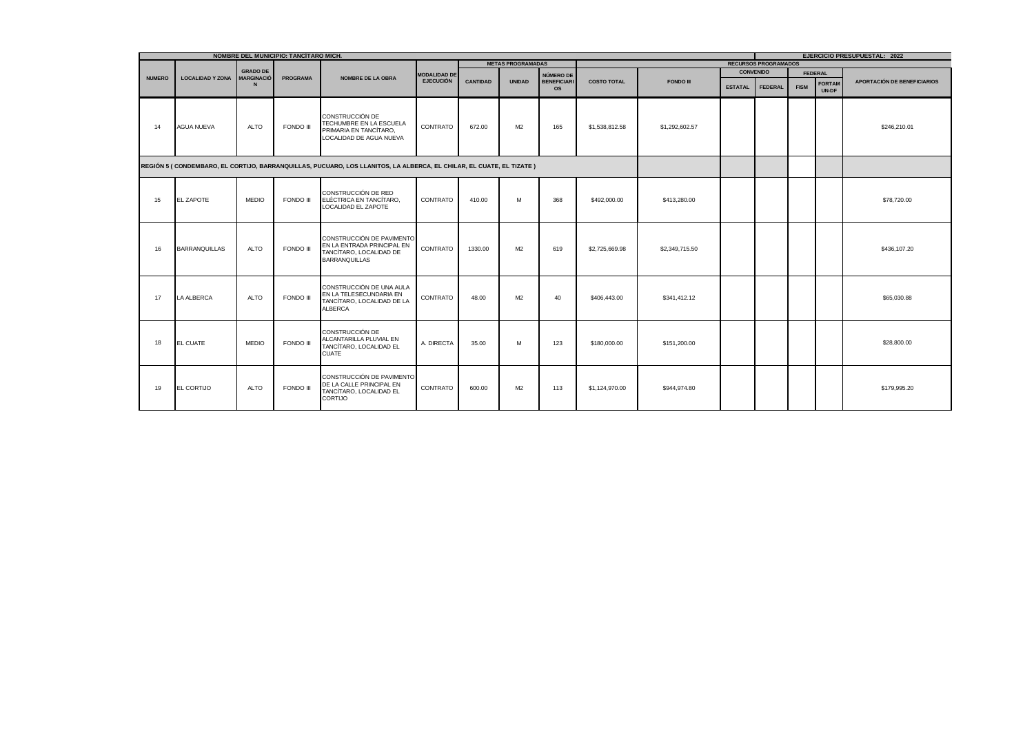|               | NOMBRE DEL MUNICIPIO: TANCITARO MICH. | <b>EJERCICIO PRESUPUESTAL: 2022</b> |                 |                                                                                                                     |                     |                 |                          |                                 |                    |                  |                |                             |             |                        |                             |
|---------------|---------------------------------------|-------------------------------------|-----------------|---------------------------------------------------------------------------------------------------------------------|---------------------|-----------------|--------------------------|---------------------------------|--------------------|------------------|----------------|-----------------------------|-------------|------------------------|-----------------------------|
|               |                                       |                                     |                 |                                                                                                                     |                     |                 | <b>METAS PROGRAMADAS</b> |                                 |                    |                  |                | <b>RECURSOS PROGRAMADOS</b> |             |                        |                             |
|               |                                       | <b>GRADO DE</b>                     |                 |                                                                                                                     | <b>MODALIDAD DE</b> |                 |                          | NÚMERO DE                       |                    |                  |                | <b>CONVENIDO</b>            |             | <b>FEDERAL</b>         |                             |
| <b>NUMERO</b> | <b>LOCALIDAD Y ZONA</b>               | <b>MARGINACIÓ</b>                   | <b>PROGRAMA</b> | <b>NOMBRE DE LA OBRA</b>                                                                                            | <b>EJECUCIÓN</b>    | <b>CANTIDAD</b> | <b>UNIDAD</b>            | <b>BENEFICIARI</b><br><b>OS</b> | <b>COSTO TOTAL</b> | <b>FONDO III</b> | <b>ESTATAL</b> | <b>FEDERAL</b>              | <b>FISM</b> | <b>FORTAM</b><br>UN-DF | APORTACIÓN DE BENEFICIARIOS |
| 14            | <b>AGUA NUEVA</b>                     | <b>ALTO</b>                         | FONDO III       | CONSTRUCCIÓN DE<br>TECHUMBRE EN LA ESCUELA<br>PRIMARIA EN TANCÍTARO.<br>LOCALIDAD DE AGUA NUEVA                     | CONTRATO            | 672.00          | M <sub>2</sub>           | 165                             | \$1,538,812.58     | \$1,292,602.57   |                |                             |             |                        | \$246,210.01                |
|               |                                       |                                     |                 | REGIÓN 5 (CONDEMBARO, EL CORTIJO, BARRANQUILLAS, PUCUARO, LOS LLANITOS, LA ALBERCA, EL CHILAR, EL CUATE, EL TIZATE) |                     |                 |                          |                                 |                    |                  |                |                             |             |                        |                             |
| 15            | <b>EL ZAPOTE</b>                      | <b>MEDIO</b>                        | FONDO III       | CONSTRUCCIÓN DE RED<br>ELÉCTRICA EN TANCÍTARO.<br>LOCALIDAD EL ZAPOTE                                               | CONTRATO            | 410.00          | M                        | 368                             | \$492,000.00       | \$413,280.00     |                |                             |             |                        | \$78,720.00                 |
| 16            | <b>BARRANQUILLAS</b>                  | <b>ALTO</b>                         | FONDO III       | CONSTRUCCIÓN DE PAVIMENTO<br>EN LA ENTRADA PRINCIPAL EN<br>TANCÍTARO. LOCALIDAD DE<br><b>BARRANQUILLAS</b>          | CONTRATO            | 1330.00         | M <sub>2</sub>           | 619                             | \$2,725,669.98     | \$2,349,715.50   |                |                             |             |                        | \$436,107.20                |
| 17            | LA ALBERCA                            | ALTO                                | FONDO III       | CONSTRUCCIÓN DE UNA AULA<br>EN LA TELESECUNDARIA EN<br>TANCÍTARO. LOCALIDAD DE LA<br><b>ALBERCA</b>                 | CONTRATO            | 48.00           | M <sub>2</sub>           | 40                              | \$406,443.00       | \$341,412.12     |                |                             |             |                        | \$65,030.88                 |
| 18            | EL CUATE                              | <b>MEDIO</b>                        | FONDO III       | CONSTRUCCIÓN DE<br>ALCANTARILLA PLUVIAL EN<br>TANCÍTARO, LOCALIDAD EL<br><b>CUATE</b>                               | A. DIRECTA          | 35.00           | M                        | 123                             | \$180,000.00       | \$151,200.00     |                |                             |             |                        | \$28,800.00                 |
| 19            | EL CORTIJO                            | <b>ALTO</b>                         | FONDO III       | CONSTRUCCIÓN DE PAVIMENTO<br>DE LA CALLE PRINCIPAL EN<br>TANCÍTARO, LOCALIDAD EL<br>CORTIJO                         | CONTRATO            | 600.00          | M <sub>2</sub>           | 113                             | \$1,124,970.00     | \$944,974.80     |                |                             |             |                        | \$179,995.20                |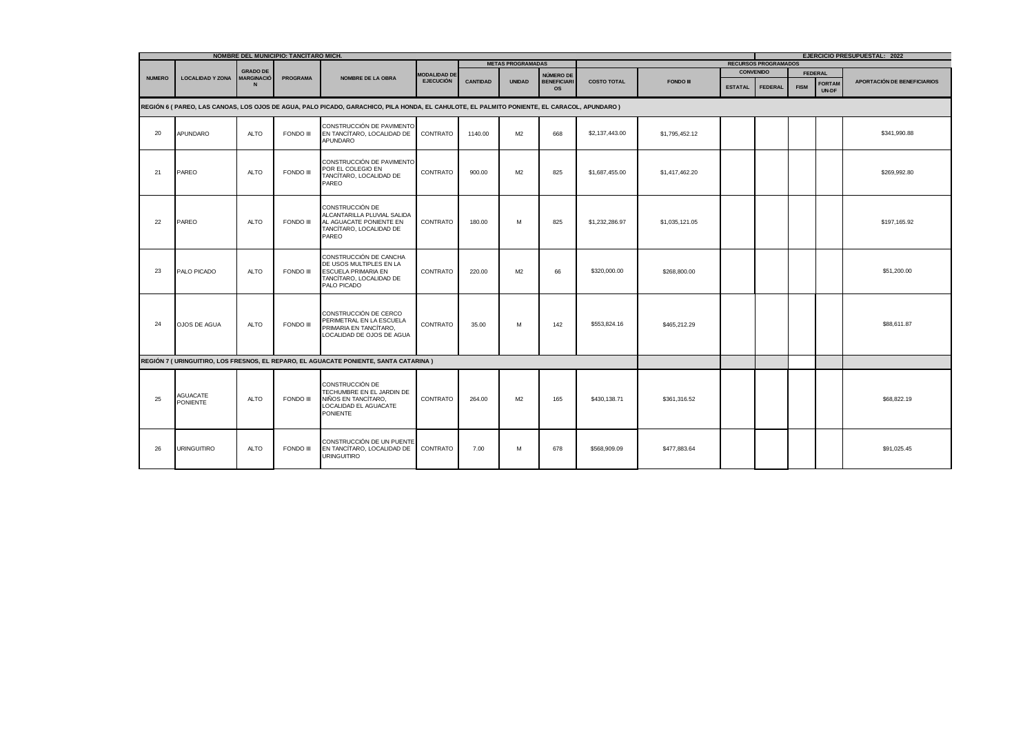| NOMBRE DEL MUNICIPIO: TANCITARO MICH. |                                                                                                                                            |                                      |                 |                                                                                                                           |                     |                 |                                                         |                                 |                    |                  | <b>EJERCICIO PRESUPUESTAL: 2022</b> |                  |             |                        |                                    |
|---------------------------------------|--------------------------------------------------------------------------------------------------------------------------------------------|--------------------------------------|-----------------|---------------------------------------------------------------------------------------------------------------------------|---------------------|-----------------|---------------------------------------------------------|---------------------------------|--------------------|------------------|-------------------------------------|------------------|-------------|------------------------|------------------------------------|
|                                       |                                                                                                                                            |                                      |                 |                                                                                                                           |                     |                 | <b>METAS PROGRAMADAS</b><br><b>RECURSOS PROGRAMADOS</b> |                                 |                    |                  |                                     |                  |             |                        |                                    |
| <b>NUMERO</b>                         | <b>LOCALIDAD Y ZONA</b>                                                                                                                    | <b>GRADO DE</b><br><b>MARGINACIÓ</b> | <b>PROGRAMA</b> | <b>NOMBRE DE LA OBRA</b>                                                                                                  | <b>MODALIDAD DE</b> |                 |                                                         | NÚMERO DE                       |                    |                  |                                     | <b>CONVENIDO</b> |             | <b>FEDERAL</b>         |                                    |
|                                       |                                                                                                                                            | N                                    |                 |                                                                                                                           | <b>EJECUCIÓN</b>    | <b>CANTIDAD</b> | <b>UNIDAD</b>                                           | <b>BENEFICIARI</b><br><b>OS</b> | <b>COSTO TOTAL</b> | <b>FONDO III</b> | <b>ESTATAL</b>                      | <b>FEDERAL</b>   | <b>FISM</b> | <b>FORTAM</b><br>UN-DF | <b>APORTACIÓN DE BENEFICIARIOS</b> |
|                                       | REGIÓN 6 (PAREO, LAS CANOAS, LOS OJOS DE AGUA, PALO PICADO, GARACHICO, PILA HONDA, EL CAHULOTE, EL PALMITO PONIENTE, EL CARACOL, APUNDARO) |                                      |                 |                                                                                                                           |                     |                 |                                                         |                                 |                    |                  |                                     |                  |             |                        |                                    |
| 20                                    | APUNDARO                                                                                                                                   | ALTO                                 | FONDO III       | CONSTRUCCIÓN DE PAVIMENTO<br>EN TANCÍTARO, LOCALIDAD DE<br>APUNDARO                                                       | CONTRATO            | 1140.00         | M2                                                      | 668                             | \$2,137,443.00     | \$1,795,452.12   |                                     |                  |             |                        | \$341,990.88                       |
| 21                                    | PAREO                                                                                                                                      | <b>ALTO</b>                          | FONDO III       | CONSTRUCCIÓN DE PAVIMENTO<br>POR EL COLEGIO EN<br>TANCÍTARO. LOCALIDAD DE<br>PAREO                                        | CONTRATO            | 900.00          | M <sub>2</sub>                                          | 825                             | \$1,687,455.00     | \$1,417,462.20   |                                     |                  |             |                        | \$269,992.80                       |
| 22                                    | PAREO                                                                                                                                      | <b>ALTO</b>                          | FONDO III       | CONSTRUCCIÓN DE<br>ALCANTARILLA PLUVIAL SALIDA<br>AL AGUACATE PONIENTE EN<br>TANCÍTARO, LOCALIDAD DE<br>PAREO             | CONTRATO            | 180.00          | M                                                       | 825                             | \$1,232,286.97     | \$1,035,121.05   |                                     |                  |             |                        | \$197,165.92                       |
| 23                                    | PALO PICADO                                                                                                                                | <b>ALTO</b>                          | FONDO III       | CONSTRUCCIÓN DE CANCHA<br>DE USOS MULTIPLES EN LA<br><b>ESCUELA PRIMARIA EN</b><br>TANCÍTARO, LOCALIDAD DE<br>PALO PICADO | CONTRATO            | 220.00          | M <sub>2</sub>                                          | 66                              | \$320,000.00       | \$268,800.00     |                                     |                  |             |                        | \$51,200.00                        |
| 24                                    | OJOS DE AGUA                                                                                                                               | <b>ALTO</b>                          | FONDO III       | CONSTRUCCIÓN DE CERCO<br>PERIMETRAL EN LA ESCUELA<br>PRIMARIA EN TANCÍTARO,<br>LOCALIDAD DE OJOS DE AGUA                  | CONTRATO            | 35.00           | м                                                       | 142                             | \$553,824.16       | \$465,212.29     |                                     |                  |             |                        | \$88,611.87                        |
|                                       |                                                                                                                                            |                                      |                 | REGIÓN 7 (URINGUITIRO, LOS FRESNOS, EL REPARO, EL AGUACATE PONIENTE, SANTA CATARINA)                                      |                     |                 |                                                         |                                 |                    |                  |                                     |                  |             |                        |                                    |
| 25                                    | <b>AGUACATE</b><br><b>PONIENTE</b>                                                                                                         | <b>ALTO</b>                          | FONDO III       | CONSTRUCCIÓN DE<br>TECHUMBRE EN EL JARDIN DE<br>NIÑOS EN TANCÍTARO,<br>LOCALIDAD EL AGUACATE<br><b>PONIENTE</b>           | CONTRATO            | 264.00          | M <sub>2</sub>                                          | 165                             | \$430,138.71       | \$361,316.52     |                                     |                  |             |                        | \$68,822.19                        |
| 26                                    | <b>URINGUITIRO</b>                                                                                                                         | <b>ALTO</b>                          | FONDO III       | CONSTRUCCIÓN DE UN PUENTE<br>EN TANCÍTARO, LOCALIDAD DE<br><b>URINGUITIRO</b>                                             | CONTRATO            | 7.00            | M                                                       | 678                             | \$568,909.09       | \$477,883,64     |                                     |                  |             |                        | \$91,025.45                        |